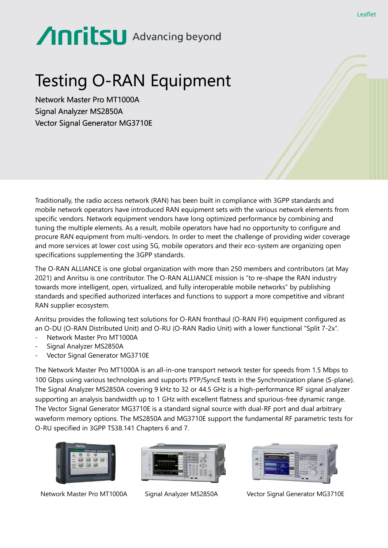# Anritsu Advancing beyond

## Testing O-RAN Equipment

Network Master Pro MT1000A Signal Analyzer MS2850A Vector Signal Generator MG3710E

Traditionally, the radio access network (RAN) has been built in compliance with 3GPP standards and mobile network operators have introduced RAN equipment sets with the various network elements from specific vendors. Network equipment vendors have long optimized performance by combining and tuning the multiple elements. As a result, mobile operators have had no opportunity to configure and procure RAN equipment from multi-vendors. In order to meet the challenge of providing wider coverage and more services at lower cost using 5G, mobile operators and their eco-system are organizing open specifications supplementing the 3GPP standards.

The O-RAN ALLIANCE is one global organization with more than 250 members and contributors (at May 2021) and Anritsu is one contributor. The O-RAN ALLIANCE mission is "to re-shape the RAN industry towards more intelligent, open, virtualized, and fully interoperable mobile networks" by publishing standards and specified authorized interfaces and functions to support a more competitive and vibrant RAN supplier ecosystem.

Anritsu provides the following test solutions for O-RAN fronthaul (O-RAN FH) equipment configured as an O-DU (O-RAN Distributed Unit) and O-RU (O-RAN Radio Unit) with a lower functional "Split 7-2x".

- Network Master Pro MT1000A
- Signal Analyzer MS2850A
- Vector Signal Generator MG3710E

The Network Master Pro MT1000A is an all-in-one transport network tester for speeds from 1.5 Mbps to 100 Gbps using various technologies and supports PTP/SyncE tests in the Synchronization plane (S-plane). The Signal Analyzer MS2850A covering 9 kHz to 32 or 44.5 GHz is a high-performance RF signal analyzer supporting an analysis bandwidth up to 1 GHz with excellent flatness and spurious-free dynamic range. The Vector Signal Generator MG3710E is a standard signal source with dual-RF port and dual arbitrary waveform memory options. The MS2850A and MG3710E support the fundamental RF parametric tests for O-RU specified in 3GPP TS38.141 Chapters 6 and 7.



Network Master Pro MT1000A Signal Analyzer MS2850A Vector Signal Generator MG3710E